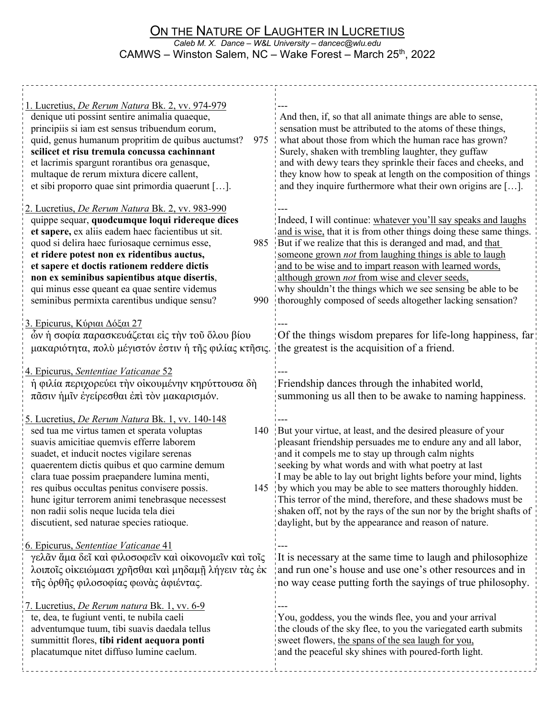## ON THE NATURE OF LAUGHTER IN LUCRETIUS *Caleb M. X. Dance – W&L University – dancec@wlu.edu* CAMWS – Winston Salem, NC – Wake Forest – March 25<sup>th</sup>, 2022

| 1. Lucretius, De Rerum Natura Bk. 2, vv. 974-979<br>denique uti possint sentire animalia quaeque,<br>principiis si iam est sensus tribuendum eorum,<br>quid, genus humanum propritim de quibus auctumst?<br>975<br>scilicet et risu tremula concussa cachinnant<br>et lacrimis spargunt rorantibus ora genasque,<br>multaque de rerum mixtura dicere callent,<br>et sibi proporro quae sint primordia quaerunt [].                                                                                                                                      | And then, if, so that all animate things are able to sense,<br>sensation must be attributed to the atoms of these things,<br>what about those from which the human race has grown?<br>Surely, shaken with trembling laughter, they guffaw<br>and with dewy tears they sprinkle their faces and cheeks, and<br>they know how to speak at length on the composition of things<br>and they inquire furthermore what their own origins are $[]$ .                                                                                                                                                                                     |
|---------------------------------------------------------------------------------------------------------------------------------------------------------------------------------------------------------------------------------------------------------------------------------------------------------------------------------------------------------------------------------------------------------------------------------------------------------------------------------------------------------------------------------------------------------|-----------------------------------------------------------------------------------------------------------------------------------------------------------------------------------------------------------------------------------------------------------------------------------------------------------------------------------------------------------------------------------------------------------------------------------------------------------------------------------------------------------------------------------------------------------------------------------------------------------------------------------|
| 2. Lucretius, De Rerum Natura Bk. 2, vv. 983-990<br>quippe sequar, quodcumque loqui ridereque dices<br>et sapere, ex aliis eadem haec facientibus ut sit.<br>quod si delira haec furiosaque cernimus esse,<br>985<br>et ridere potest non ex ridentibus auctus,<br>et sapere et doctis rationem reddere dictis<br>non ex seminibus sapientibus atque disertis,<br>qui minus esse queant ea quae sentire videmus<br>seminibus permixta carentibus undique sensu?<br>990                                                                                  | Indeed, I will continue: whatever you'll say speaks and laughs<br>and is wise, that it is from other things doing these same things.<br>But if we realize that this is deranged and mad, and that<br>someone grown not from laughing things is able to laugh<br>and to be wise and to impart reason with learned words,<br>although grown <i>not</i> from wise and clever seeds,<br>why shouldn't the things which we see sensing be able to be<br>thoroughly composed of seeds altogether lacking sensation?                                                                                                                     |
| 3. Epicurus, Κύριαι Δόξαι 27<br>ών ή σοφία παρασκευάζεται είς την του όλου βίου<br>μακαριότητα, πολύ μέγιστόν έστιν ή της φιλίας κτησις.<br>4. Epicurus, Sententiae Vaticanae 52<br>ή φιλία περιχορεύει την οικουμένην κηρύττουσα δή                                                                                                                                                                                                                                                                                                                    | Of the things wisdom prepares for life-long happiness, far<br>the greatest is the acquisition of a friend.<br>Friendship dances through the inhabited world,                                                                                                                                                                                                                                                                                                                                                                                                                                                                      |
| πᾶσιν ήμῖν ἐγείρεσθαι ἐπὶ τὸν μακαρισμόν.<br><u>5. Lucretius, De Rerum Natura Bk. 1, vv. 140-148</u><br>sed tua me virtus tamen et sperata voluptas<br>140<br>suavis amicitiae quemvis efferre laborem<br>suadet, et inducit noctes vigilare serenas<br>quaerentem dictis quibus et quo carmine demum<br>clara tuae possim praepandere lumina menti,<br>res quibus occultas penitus convisere possis.<br>145<br>hunc igitur terrorem animi tenebrasque necessest<br>non radii solis neque lucida tela diei<br>discutient, sed naturae species ratioque. | summoning us all then to be awake to naming happiness.<br>But your virtue, at least, and the desired pleasure of your<br>pleasant friendship persuades me to endure any and all labor,<br>and it compels me to stay up through calm nights<br>seeking by what words and with what poetry at last<br>I may be able to lay out bright lights before your mind, lights<br>by which you may be able to see matters thoroughly hidden.<br>This terror of the mind, therefore, and these shadows must be<br>shaken off, not by the rays of the sun nor by the bright shafts of<br>daylight, but by the appearance and reason of nature. |
| 6. Epicurus, Sententiae Vaticanae 41<br>γελᾶν ἅμα δεῖ καὶ φιλοσοφεῖν καὶ οἰκονομεῖν καὶ τοῖς<br>λοιποῖς οἰκειώμασι χρῆσθαι καὶ μηδαμῆ λήγειν τὰς ἐκ<br>της όρθης φιλοσοφίας φωνάς άφιέντας.                                                                                                                                                                                                                                                                                                                                                             | It is necessary at the same time to laugh and philosophize<br>and run one's house and use one's other resources and in<br>no way cease putting forth the sayings of true philosophy.                                                                                                                                                                                                                                                                                                                                                                                                                                              |
| <u>7. Lucretius, De Rerum natura Bk. 1, vv. 6-9</u><br>te, dea, te fugiunt venti, te nubila caeli<br>adventumque tuum, tibi suavis daedala tellus<br>summittit flores, tibi rident aequora ponti<br>placatumque nitet diffuso lumine caelum.                                                                                                                                                                                                                                                                                                            | You, goddess, you the winds flee, you and your arrival<br>the clouds of the sky flee, to you the variegated earth submits<br>sweet flowers, the spans of the sea laugh for you,<br>and the peaceful sky shines with poured-forth light.                                                                                                                                                                                                                                                                                                                                                                                           |